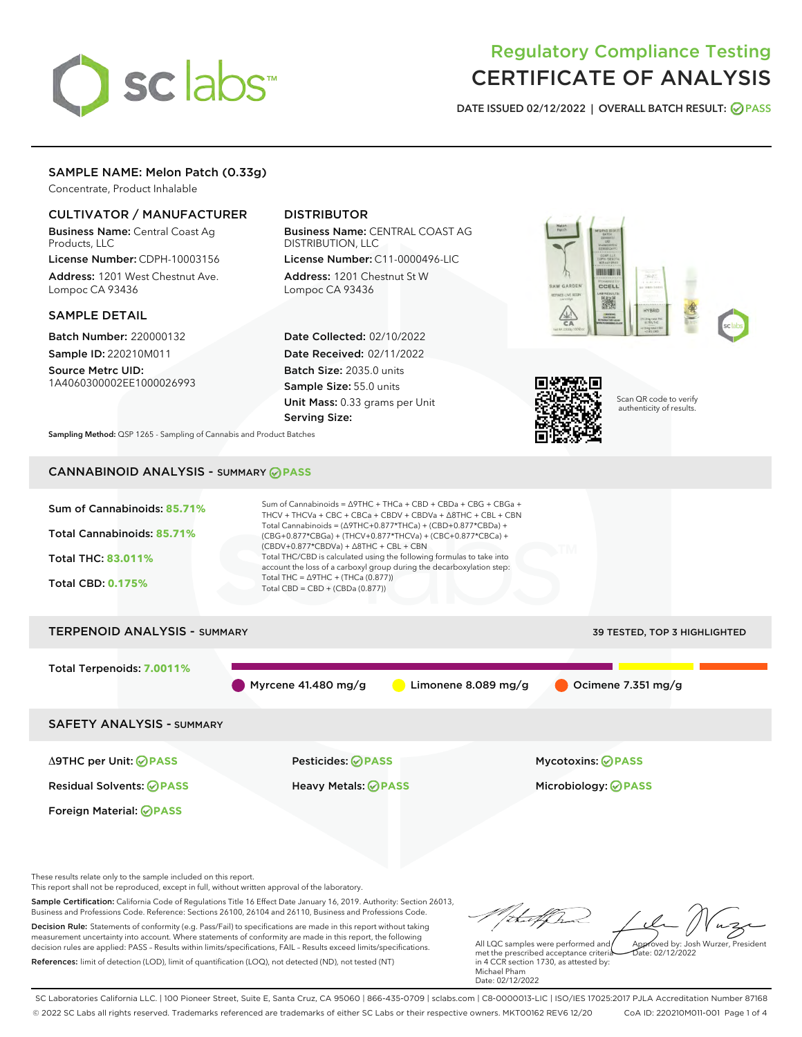# sclabs<sup>\*</sup>

# Regulatory Compliance Testing CERTIFICATE OF ANALYSIS

DATE ISSUED 02/12/2022 | OVERALL BATCH RESULT: @ PASS

# SAMPLE NAME: Melon Patch (0.33g)

Concentrate, Product Inhalable

# CULTIVATOR / MANUFACTURER

Business Name: Central Coast Ag Products, LLC License Number: CDPH-10003156

Address: 1201 West Chestnut Ave. Lompoc CA 93436

# SAMPLE DETAIL

Batch Number: 220000132 Sample ID: 220210M011

Source Metrc UID: 1A4060300002EE1000026993

# DISTRIBUTOR

Business Name: CENTRAL COAST AG DISTRIBUTION, LLC License Number: C11-0000496-LIC

Address: 1201 Chestnut St W Lompoc CA 93436

Date Collected: 02/10/2022 Date Received: 02/11/2022 Batch Size: 2035.0 units Sample Size: 55.0 units Unit Mass: 0.33 grams per Unit Serving Size:





Scan QR code to verify authenticity of results.

Sampling Method: QSP 1265 - Sampling of Cannabis and Product Batches

# CANNABINOID ANALYSIS - SUMMARY **PASS**



These results relate only to the sample included on this report.

This report shall not be reproduced, except in full, without written approval of the laboratory.

Sample Certification: California Code of Regulations Title 16 Effect Date January 16, 2019. Authority: Section 26013, Business and Professions Code. Reference: Sections 26100, 26104 and 26110, Business and Professions Code. Decision Rule: Statements of conformity (e.g. Pass/Fail) to specifications are made in this report without taking measurement uncertainty into account. Where statements of conformity are made in this report, the following

References: limit of detection (LOD), limit of quantification (LOQ), not detected (ND), not tested (NT)

decision rules are applied: PASS – Results within limits/specifications, FAIL – Results exceed limits/specifications.

tal f ha Approved by: Josh Wurzer, President

 $ate: 02/12/2022$ 

All LQC samples were performed and met the prescribed acceptance criteria in 4 CCR section 1730, as attested by: Michael Pham Date: 02/12/2022

SC Laboratories California LLC. | 100 Pioneer Street, Suite E, Santa Cruz, CA 95060 | 866-435-0709 | sclabs.com | C8-0000013-LIC | ISO/IES 17025:2017 PJLA Accreditation Number 87168 © 2022 SC Labs all rights reserved. Trademarks referenced are trademarks of either SC Labs or their respective owners. MKT00162 REV6 12/20 CoA ID: 220210M011-001 Page 1 of 4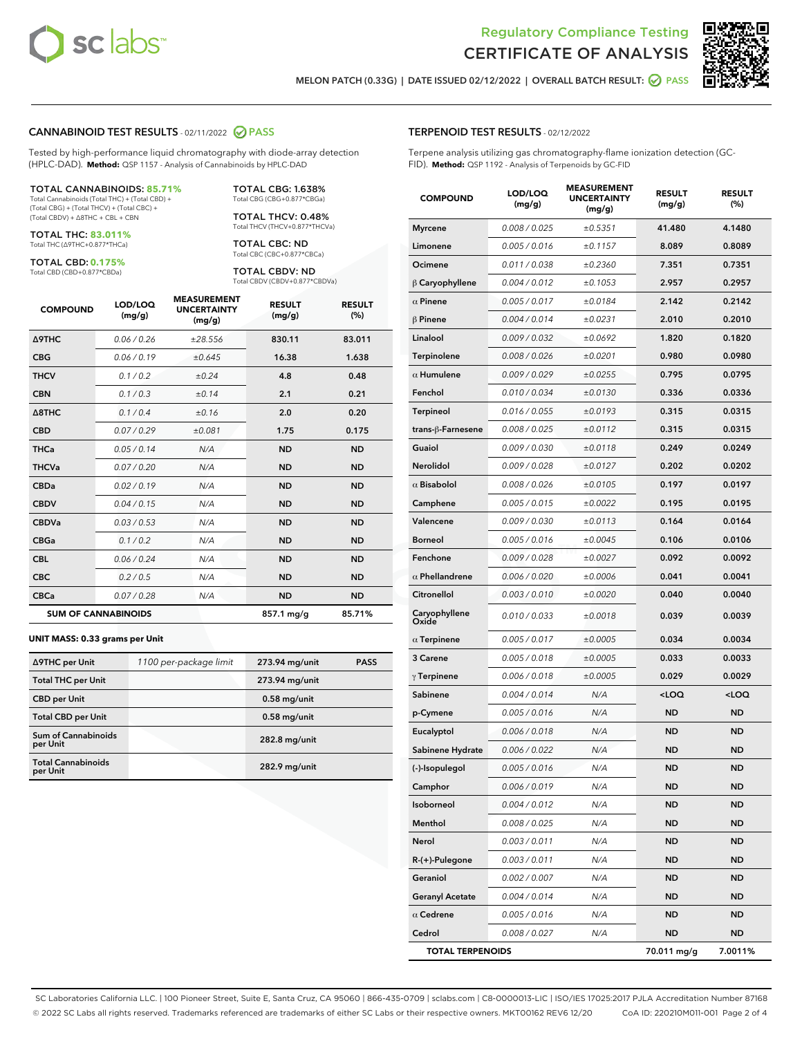



MELON PATCH (0.33G) | DATE ISSUED 02/12/2022 | OVERALL BATCH RESULT: **● PASS** 

TERPENOID TEST RESULTS - 02/12/2022

#### CANNABINOID TEST RESULTS - 02/11/2022 2 PASS

Tested by high-performance liquid chromatography with diode-array detection (HPLC-DAD). **Method:** QSP 1157 - Analysis of Cannabinoids by HPLC-DAD

#### TOTAL CANNABINOIDS: **85.71%**

Total Cannabinoids (Total THC) + (Total CBD) + (Total CBG) + (Total THCV) + (Total CBC) + (Total CBDV) + ∆8THC + CBL + CBN

TOTAL THC: **83.011%** Total THC (∆9THC+0.877\*THCa)

TOTAL CBD: **0.175%**

Total CBD (CBD+0.877\*CBDa)

TOTAL CBG: 1.638% Total CBG (CBG+0.877\*CBGa)

TOTAL THCV: 0.48% Total THCV (THCV+0.877\*THCVa)

TOTAL CBC: ND Total CBC (CBC+0.877\*CBCa)

TOTAL CBDV: ND Total CBDV (CBDV+0.877\*CBDVa)

| <b>COMPOUND</b>            | LOD/LOQ<br>(mg/g) | <b>MEASUREMENT</b><br><b>UNCERTAINTY</b><br>(mg/g) | <b>RESULT</b><br>(mg/g) | <b>RESULT</b><br>(%) |
|----------------------------|-------------------|----------------------------------------------------|-------------------------|----------------------|
| <b>A9THC</b>               | 0.06/0.26         | ±28.556                                            | 830.11                  | 83.011               |
| <b>CBG</b>                 | 0.06/0.19         | ±0.645                                             | 16.38                   | 1.638                |
| <b>THCV</b>                | 0.1 / 0.2         | ±0.24                                              | 4.8                     | 0.48                 |
| <b>CBN</b>                 | 0.1/0.3           | ±0.14                                              | 2.1                     | 0.21                 |
| $\triangle$ 8THC           | 0.1 / 0.4         | ±0.16                                              | 2.0                     | 0.20                 |
| <b>CBD</b>                 | 0.07/0.29         | ±0.081                                             | 1.75                    | 0.175                |
| <b>THCa</b>                | 0.05/0.14         | N/A                                                | <b>ND</b>               | <b>ND</b>            |
| <b>THCVa</b>               | 0.07/0.20         | N/A                                                | <b>ND</b>               | <b>ND</b>            |
| <b>CBDa</b>                | 0.02/0.19         | N/A                                                | <b>ND</b>               | <b>ND</b>            |
| <b>CBDV</b>                | 0.04/0.15         | N/A                                                | <b>ND</b>               | <b>ND</b>            |
| <b>CBDVa</b>               | 0.03/0.53         | N/A                                                | <b>ND</b>               | <b>ND</b>            |
| <b>CBGa</b>                | 0.1 / 0.2         | N/A                                                | <b>ND</b>               | <b>ND</b>            |
| <b>CBL</b>                 | 0.06 / 0.24       | N/A                                                | <b>ND</b>               | <b>ND</b>            |
| <b>CBC</b>                 | 0.2 / 0.5         | N/A                                                | <b>ND</b>               | <b>ND</b>            |
| <b>CBCa</b>                | 0.07 / 0.28       | N/A                                                | <b>ND</b>               | <b>ND</b>            |
| <b>SUM OF CANNABINOIDS</b> |                   |                                                    | 857.1 mg/g              | 85.71%               |

#### **UNIT MASS: 0.33 grams per Unit**

| ∆9THC per Unit                         | 1100 per-package limit | 273.94 mg/unit | <b>PASS</b> |
|----------------------------------------|------------------------|----------------|-------------|
| <b>Total THC per Unit</b>              |                        | 273.94 mg/unit |             |
| <b>CBD</b> per Unit                    |                        | $0.58$ mg/unit |             |
| <b>Total CBD per Unit</b>              |                        | $0.58$ mg/unit |             |
| <b>Sum of Cannabinoids</b><br>per Unit |                        | 282.8 mg/unit  |             |
| <b>Total Cannabinoids</b><br>per Unit  |                        | 282.9 mg/unit  |             |

| Terpene analysis utilizing gas chromatography-flame ionization detection (GC-<br>FID). Method: QSP 1192 - Analysis of Terpenoids by GC-FID |                   |                                                    |                         |                      |  |  |
|--------------------------------------------------------------------------------------------------------------------------------------------|-------------------|----------------------------------------------------|-------------------------|----------------------|--|--|
| <b>COMPOUND</b>                                                                                                                            | LOD/LOQ<br>(mg/g) | <b>MEASUREMENT</b><br><b>UNCERTAINTY</b><br>(mg/g) | <b>RESULT</b><br>(mg/g) | <b>RESULT</b><br>(%) |  |  |
| <b>Myrcene</b>                                                                                                                             | 0.008 / 0.025     | ±0.5351                                            | 41.480                  | 4.1480               |  |  |
| Limonene                                                                                                                                   | 0.005/0.016       | ±0.1157                                            | 8.089                   | 0.8089               |  |  |
| Ocimene                                                                                                                                    | 0.011 / 0.038     | ±0.2360                                            | 7.351                   | 0.7351               |  |  |
| $\beta$ Caryophyllene                                                                                                                      | 0.004 / 0.012     | ±0.1053                                            | 2.957                   | 0.2957               |  |  |
| $\alpha$ Pinene                                                                                                                            | 0.005 / 0.017     | ±0.0184                                            | 2.142                   | 0.2142               |  |  |
| <b>β Pinene</b>                                                                                                                            | 0.004 / 0.014     | ±0.0231                                            | 2.010                   | 0.2010               |  |  |
| Linalool                                                                                                                                   | 0.009 / 0.032     | ±0.0692                                            | 1.820                   | 0.1820               |  |  |
| Terpinolene                                                                                                                                | 0.008 / 0.026     | ±0.0201                                            | 0.980                   | 0.0980               |  |  |
| $\alpha$ Humulene                                                                                                                          | 0.009/0.029       | ±0.0255                                            | 0.795                   | 0.0795               |  |  |
| Fenchol                                                                                                                                    | 0.010 / 0.034     | ±0.0130                                            | 0.336                   | 0.0336               |  |  |
| <b>Terpineol</b>                                                                                                                           | 0.016 / 0.055     | ±0.0193                                            | 0.315                   | 0.0315               |  |  |
| trans-ß-Farnesene                                                                                                                          | 0.008 / 0.025     | ±0.0112                                            | 0.315                   | 0.0315               |  |  |
| Guaiol                                                                                                                                     | 0.009 / 0.030     | ±0.0118                                            | 0.249                   | 0.0249               |  |  |
| <b>Nerolidol</b>                                                                                                                           | 0.009 / 0.028     | ±0.0127                                            | 0.202                   | 0.0202               |  |  |
| $\alpha$ Bisabolol                                                                                                                         | 0.008 / 0.026     | ±0.0105                                            | 0.197                   | 0.0197               |  |  |
| Camphene                                                                                                                                   | 0.005 / 0.015     | ±0.0022                                            | 0.195                   | 0.0195               |  |  |
| Valencene                                                                                                                                  | 0.009/0.030       | ±0.0113                                            | 0.164                   | 0.0164               |  |  |
| Borneol                                                                                                                                    | 0.005 / 0.016     | ±0.0045                                            | 0.106                   | 0.0106               |  |  |
| Fenchone                                                                                                                                   | 0.009 / 0.028     | ±0.0027                                            | 0.092                   | 0.0092               |  |  |
| $\alpha$ Phellandrene                                                                                                                      | 0.006 / 0.020     | ±0.0006                                            | 0.041                   | 0.0041               |  |  |
| Citronellol                                                                                                                                | 0.003/0.010       | ±0.0020                                            | 0.040                   | 0.0040               |  |  |
| Caryophyllene<br>Oxide                                                                                                                     | 0.010 / 0.033     | ±0.0018                                            | 0.039                   | 0.0039               |  |  |

| $\alpha$ Terpinene      | 0.005 / 0.017 | ±0.0005 | 0.034       | 0.0034              |
|-------------------------|---------------|---------|-------------|---------------------|
| 3 Carene                | 0.005 / 0.018 | ±0.0005 | 0.033       | 0.0033              |
| $\gamma$ Terpinene      | 0.006 / 0.018 | ±0.0005 | 0.029       | 0.0029              |
| Sabinene                | 0.004 / 0.014 | N/A     | $<$ LOQ     | <loq< th=""></loq<> |
| p-Cymene                | 0.005 / 0.016 | N/A     | <b>ND</b>   | <b>ND</b>           |
| Eucalyptol              | 0.006 / 0.018 | N/A     | <b>ND</b>   | <b>ND</b>           |
| Sabinene Hydrate        | 0.006 / 0.022 | N/A     | <b>ND</b>   | <b>ND</b>           |
| (-)-Isopulegol          | 0.005/0.016   | N/A     | <b>ND</b>   | <b>ND</b>           |
| Camphor                 | 0.006/0.019   | N/A     | <b>ND</b>   | <b>ND</b>           |
| Isoborneol              | 0.004/0.012   | N/A     | <b>ND</b>   | <b>ND</b>           |
| Menthol                 | 0.008 / 0.025 | N/A     | <b>ND</b>   | <b>ND</b>           |
| Nerol                   | 0.003/0.011   | N/A     | <b>ND</b>   | <b>ND</b>           |
| $R-(+)$ -Pulegone       | 0.003 / 0.011 | N/A     | <b>ND</b>   | <b>ND</b>           |
| Geraniol                | 0.002 / 0.007 | N/A     | <b>ND</b>   | <b>ND</b>           |
| <b>Geranyl Acetate</b>  | 0.004/0.014   | N/A     | <b>ND</b>   | <b>ND</b>           |
| $\alpha$ Cedrene        | 0.005 / 0.016 | N/A     | <b>ND</b>   | <b>ND</b>           |
| Cedrol                  | 0.008 / 0.027 | N/A     | <b>ND</b>   | <b>ND</b>           |
| <b>TOTAL TERPENOIDS</b> |               |         | 70.011 mg/g | 7.0011%             |

#### SC Laboratories California LLC. | 100 Pioneer Street, Suite E, Santa Cruz, CA 95060 | 866-435-0709 | sclabs.com | C8-0000013-LIC | ISO/IES 17025:2017 PJLA Accreditation Number 87168 © 2022 SC Labs all rights reserved. Trademarks referenced are trademarks of either SC Labs or their respective owners. MKT00162 REV6 12/20 CoA ID: 220210M011-001 Page 2 of 4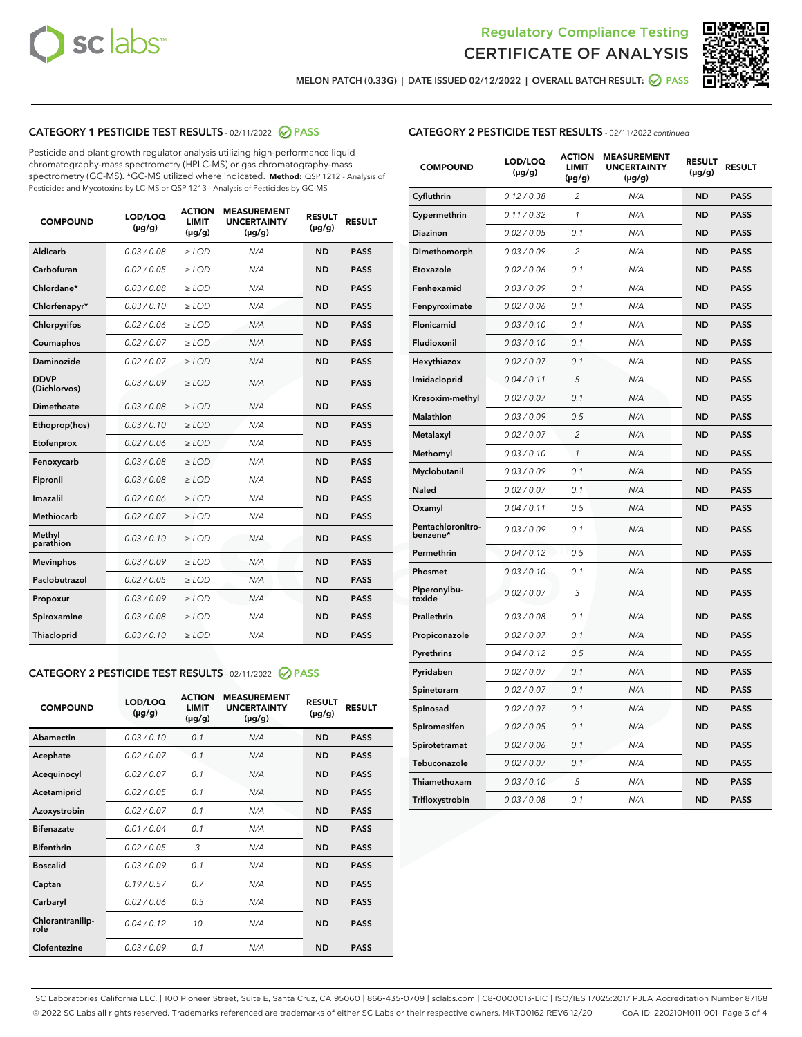



MELON PATCH (0.33G) | DATE ISSUED 02/12/2022 | OVERALL BATCH RESULT: Ø PASS

# CATEGORY 1 PESTICIDE TEST RESULTS - 02/11/2022 2 PASS

Pesticide and plant growth regulator analysis utilizing high-performance liquid chromatography-mass spectrometry (HPLC-MS) or gas chromatography-mass spectrometry (GC-MS). \*GC-MS utilized where indicated. **Method:** QSP 1212 - Analysis of Pesticides and Mycotoxins by LC-MS or QSP 1213 - Analysis of Pesticides by GC-MS

| <b>COMPOUND</b>             | LOD/LOQ<br>$(\mu g/g)$ | <b>ACTION</b><br><b>LIMIT</b><br>$(\mu q/q)$ | <b>MEASUREMENT</b><br><b>UNCERTAINTY</b><br>$(\mu g/g)$ | <b>RESULT</b><br>$(\mu g/g)$ | <b>RESULT</b> |
|-----------------------------|------------------------|----------------------------------------------|---------------------------------------------------------|------------------------------|---------------|
| Aldicarb                    | 0.03 / 0.08            | $\ge$ LOD                                    | N/A                                                     | <b>ND</b>                    | <b>PASS</b>   |
| Carbofuran                  | 0.02 / 0.05            | $\ge$ LOD                                    | N/A                                                     | <b>ND</b>                    | <b>PASS</b>   |
| Chlordane*                  | 0.03 / 0.08            | $\ge$ LOD                                    | N/A                                                     | <b>ND</b>                    | <b>PASS</b>   |
| Chlorfenapyr*               | 0.03/0.10              | $\ge$ LOD                                    | N/A                                                     | <b>ND</b>                    | <b>PASS</b>   |
| Chlorpyrifos                | 0.02 / 0.06            | $\ge$ LOD                                    | N/A                                                     | <b>ND</b>                    | <b>PASS</b>   |
| Coumaphos                   | 0.02 / 0.07            | $\ge$ LOD                                    | N/A                                                     | <b>ND</b>                    | <b>PASS</b>   |
| Daminozide                  | 0.02 / 0.07            | $\ge$ LOD                                    | N/A                                                     | <b>ND</b>                    | <b>PASS</b>   |
| <b>DDVP</b><br>(Dichlorvos) | 0.03/0.09              | $\ge$ LOD                                    | N/A                                                     | <b>ND</b>                    | <b>PASS</b>   |
| Dimethoate                  | 0.03 / 0.08            | $\ge$ LOD                                    | N/A                                                     | <b>ND</b>                    | <b>PASS</b>   |
| Ethoprop(hos)               | 0.03/0.10              | $\ge$ LOD                                    | N/A                                                     | <b>ND</b>                    | <b>PASS</b>   |
| Etofenprox                  | 0.02/0.06              | $>$ LOD                                      | N/A                                                     | <b>ND</b>                    | <b>PASS</b>   |
| Fenoxycarb                  | 0.03 / 0.08            | $\ge$ LOD                                    | N/A                                                     | <b>ND</b>                    | <b>PASS</b>   |
| Fipronil                    | 0.03/0.08              | $>$ LOD                                      | N/A                                                     | <b>ND</b>                    | <b>PASS</b>   |
| Imazalil                    | 0.02 / 0.06            | $\ge$ LOD                                    | N/A                                                     | <b>ND</b>                    | <b>PASS</b>   |
| Methiocarb                  | 0.02 / 0.07            | $\ge$ LOD                                    | N/A                                                     | <b>ND</b>                    | <b>PASS</b>   |
| Methyl<br>parathion         | 0.03/0.10              | $>$ LOD                                      | N/A                                                     | <b>ND</b>                    | <b>PASS</b>   |
| <b>Mevinphos</b>            | 0.03/0.09              | $>$ LOD                                      | N/A                                                     | <b>ND</b>                    | <b>PASS</b>   |
| Paclobutrazol               | 0.02 / 0.05            | $>$ LOD                                      | N/A                                                     | <b>ND</b>                    | <b>PASS</b>   |
| Propoxur                    | 0.03/0.09              | $\ge$ LOD                                    | N/A                                                     | <b>ND</b>                    | <b>PASS</b>   |
| Spiroxamine                 | 0.03 / 0.08            | $\ge$ LOD                                    | N/A                                                     | <b>ND</b>                    | <b>PASS</b>   |
| Thiacloprid                 | 0.03/0.10              | $\ge$ LOD                                    | N/A                                                     | <b>ND</b>                    | <b>PASS</b>   |

#### CATEGORY 2 PESTICIDE TEST RESULTS - 02/11/2022 2 PASS

| <b>COMPOUND</b>          | LOD/LOQ<br>$(\mu g/g)$ | <b>ACTION</b><br><b>LIMIT</b><br>$(\mu g/g)$ | <b>MEASUREMENT</b><br><b>UNCERTAINTY</b><br>$(\mu g/g)$ | <b>RESULT</b><br>$(\mu g/g)$ | <b>RESULT</b> |
|--------------------------|------------------------|----------------------------------------------|---------------------------------------------------------|------------------------------|---------------|
| Abamectin                | 0.03/0.10              | 0.1                                          | N/A                                                     | <b>ND</b>                    | <b>PASS</b>   |
| Acephate                 | 0.02/0.07              | 0.1                                          | N/A                                                     | <b>ND</b>                    | <b>PASS</b>   |
| Acequinocyl              | 0.02/0.07              | 0.1                                          | N/A                                                     | <b>ND</b>                    | <b>PASS</b>   |
| Acetamiprid              | 0.02/0.05              | 0.1                                          | N/A                                                     | <b>ND</b>                    | <b>PASS</b>   |
| Azoxystrobin             | 0.02/0.07              | 0.1                                          | N/A                                                     | <b>ND</b>                    | <b>PASS</b>   |
| <b>Bifenazate</b>        | 0.01/0.04              | 0.1                                          | N/A                                                     | <b>ND</b>                    | <b>PASS</b>   |
| <b>Bifenthrin</b>        | 0.02 / 0.05            | 3                                            | N/A                                                     | <b>ND</b>                    | <b>PASS</b>   |
| <b>Boscalid</b>          | 0.03/0.09              | 0.1                                          | N/A                                                     | <b>ND</b>                    | <b>PASS</b>   |
| Captan                   | 0.19/0.57              | 0.7                                          | N/A                                                     | <b>ND</b>                    | <b>PASS</b>   |
| Carbaryl                 | 0.02/0.06              | 0.5                                          | N/A                                                     | <b>ND</b>                    | <b>PASS</b>   |
| Chlorantranilip-<br>role | 0.04/0.12              | 10                                           | N/A                                                     | <b>ND</b>                    | <b>PASS</b>   |
| Clofentezine             | 0.03/0.09              | 0.1                                          | N/A                                                     | <b>ND</b>                    | <b>PASS</b>   |

# CATEGORY 2 PESTICIDE TEST RESULTS - 02/11/2022 continued

| <b>COMPOUND</b>               | LOD/LOQ<br>(µg/g) | <b>ACTION</b><br><b>LIMIT</b><br>(µg/g) | <b>MEASUREMENT</b><br><b>UNCERTAINTY</b><br>$(\mu g/g)$ | <b>RESULT</b><br>(µg/g) | <b>RESULT</b> |
|-------------------------------|-------------------|-----------------------------------------|---------------------------------------------------------|-------------------------|---------------|
| Cyfluthrin                    | 0.12 / 0.38       | $\overline{c}$                          | N/A                                                     | <b>ND</b>               | <b>PASS</b>   |
| Cypermethrin                  | 0.11 / 0.32       | 1                                       | N/A                                                     | <b>ND</b>               | <b>PASS</b>   |
| Diazinon                      | 0.02 / 0.05       | 0.1                                     | N/A                                                     | <b>ND</b>               | <b>PASS</b>   |
| Dimethomorph                  | 0.03 / 0.09       | 2                                       | N/A                                                     | ND                      | <b>PASS</b>   |
| Etoxazole                     | 0.02 / 0.06       | 0.1                                     | N/A                                                     | <b>ND</b>               | <b>PASS</b>   |
| Fenhexamid                    | 0.03 / 0.09       | 0.1                                     | N/A                                                     | ND                      | <b>PASS</b>   |
| Fenpyroximate                 | 0.02 / 0.06       | 0.1                                     | N/A                                                     | <b>ND</b>               | <b>PASS</b>   |
| Flonicamid                    | 0.03 / 0.10       | 0.1                                     | N/A                                                     | ND                      | <b>PASS</b>   |
| Fludioxonil                   | 0.03 / 0.10       | 0.1                                     | N/A                                                     | <b>ND</b>               | <b>PASS</b>   |
| Hexythiazox                   | 0.02 / 0.07       | 0.1                                     | N/A                                                     | ND                      | <b>PASS</b>   |
| Imidacloprid                  | 0.04 / 0.11       | 5                                       | N/A                                                     | ND                      | <b>PASS</b>   |
| Kresoxim-methyl               | 0.02 / 0.07       | 0.1                                     | N/A                                                     | <b>ND</b>               | <b>PASS</b>   |
| <b>Malathion</b>              | 0.03 / 0.09       | 0.5                                     | N/A                                                     | ND                      | <b>PASS</b>   |
| Metalaxyl                     | 0.02 / 0.07       | $\overline{c}$                          | N/A                                                     | ND                      | <b>PASS</b>   |
| Methomyl                      | 0.03 / 0.10       | 1                                       | N/A                                                     | <b>ND</b>               | <b>PASS</b>   |
| Myclobutanil                  | 0.03 / 0.09       | 0.1                                     | N/A                                                     | ND                      | <b>PASS</b>   |
| Naled                         | 0.02 / 0.07       | 0.1                                     | N/A                                                     | ND                      | <b>PASS</b>   |
| Oxamyl                        | 0.04 / 0.11       | 0.5                                     | N/A                                                     | ND                      | <b>PASS</b>   |
| Pentachloronitro-<br>benzene* | 0.03 / 0.09       | 0.1                                     | N/A                                                     | ND                      | <b>PASS</b>   |
| Permethrin                    | 0.04 / 0.12       | 0.5                                     | N/A                                                     | <b>ND</b>               | <b>PASS</b>   |
| Phosmet                       | 0.03/0.10         | 0.1                                     | N/A                                                     | ND                      | <b>PASS</b>   |
| Piperonylbu-<br>toxide        | 0.02 / 0.07       | 3                                       | N/A                                                     | ND                      | <b>PASS</b>   |
| Prallethrin                   | 0.03 / 0.08       | 0.1                                     | N/A                                                     | <b>ND</b>               | <b>PASS</b>   |
| Propiconazole                 | 0.02 / 0.07       | 0.1                                     | N/A                                                     | ND                      | <b>PASS</b>   |
| Pyrethrins                    | 0.04 / 0.12       | 0.5                                     | N/A                                                     | ND                      | <b>PASS</b>   |
| Pyridaben                     | 0.02 / 0.07       | 0.1                                     | N/A                                                     | ND                      | <b>PASS</b>   |
| Spinetoram                    | 0.02 / 0.07       | 0.1                                     | N/A                                                     | ND                      | <b>PASS</b>   |
| Spinosad                      | 0.02 / 0.07       | 0.1                                     | N/A                                                     | ND                      | <b>PASS</b>   |
| Spiromesifen                  | 0.02 / 0.05       | 0.1                                     | N/A                                                     | ND                      | <b>PASS</b>   |
| Spirotetramat                 | 0.02 / 0.06       | 0.1                                     | N/A                                                     | ND                      | <b>PASS</b>   |
| Tebuconazole                  | 0.02 / 0.07       | 0.1                                     | N/A                                                     | ND                      | <b>PASS</b>   |
| Thiamethoxam                  | 0.03 / 0.10       | 5                                       | N/A                                                     | ND                      | <b>PASS</b>   |
| Trifloxystrobin               | 0.03 / 0.08       | 0.1                                     | N/A                                                     | <b>ND</b>               | <b>PASS</b>   |

SC Laboratories California LLC. | 100 Pioneer Street, Suite E, Santa Cruz, CA 95060 | 866-435-0709 | sclabs.com | C8-0000013-LIC | ISO/IES 17025:2017 PJLA Accreditation Number 87168 © 2022 SC Labs all rights reserved. Trademarks referenced are trademarks of either SC Labs or their respective owners. MKT00162 REV6 12/20 CoA ID: 220210M011-001 Page 3 of 4